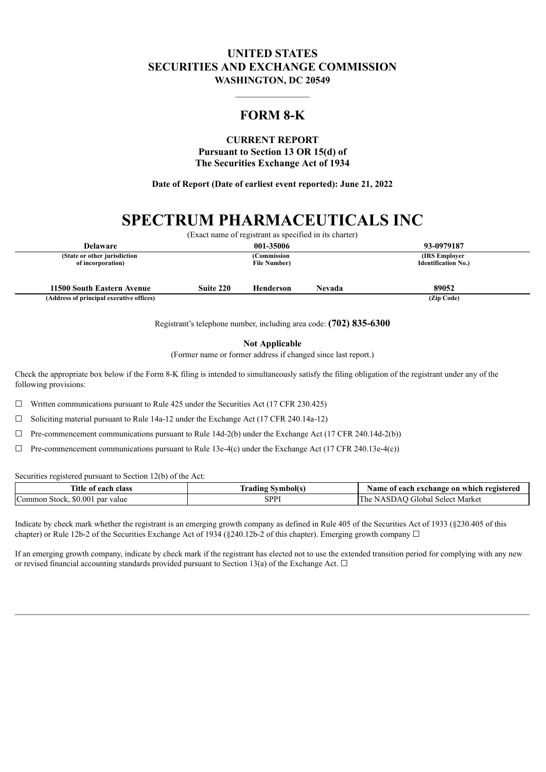## **UNITED STATES SECURITIES AND EXCHANGE COMMISSION WASHINGTON, DC 20549**

# **FORM 8-K**

 $\mathcal{L}=\mathcal{L}^{\mathcal{L}}$ 

# **CURRENT REPORT**

**Pursuant to Section 13 OR 15(d) of The Securities Exchange Act of 1934**

**Date of Report (Date of earliest event reported): June 21, 2022**

# **SPECTRUM PHARMACEUTICALS INC**

|                                                   |           | (Exact name of registrant as specified in its charter) |        |                                              |
|---------------------------------------------------|-----------|--------------------------------------------------------|--------|----------------------------------------------|
| <b>Delaware</b>                                   |           | 001-35006                                              |        | 93-0979187                                   |
| (State or other jurisdiction<br>of incorporation) |           | (Commission<br><b>File Number</b> )                    |        | (IRS Employer)<br><b>Identification No.)</b> |
| 11500 South Eastern Avenue                        | Suite 220 | Henderson                                              | Nevada | 89052                                        |
| (Address of principal executive offices)          |           |                                                        |        | (Zip Code)                                   |

Registrant's telephone number, including area code: **(702) 835-6300**

**Not Applicable**

(Former name or former address if changed since last report.)

Check the appropriate box below if the Form 8-K filing is intended to simultaneously satisfy the filing obligation of the registrant under any of the following provisions:

 $\Box$  Written communications pursuant to Rule 425 under the Securities Act (17 CFR 230.425)

 $\Box$  Soliciting material pursuant to Rule 14a-12 under the Exchange Act (17 CFR 240.14a-12)

 $\Box$  Pre-commencement communications pursuant to Rule 14d-2(b) under the Exchange Act (17 CFR 240.14d-2(b))

 $\Box$  Pre-commencement communications pursuant to Rule 13e-4(c) under the Exchange Act (17 CFR 240.13e-4(c))

Securities registered pursuant to Section 12(b) of the Act:

| <b>Title of</b><br>class<br>each                                        | `nol(s              | exchange on<br>Aame.<br>∵which.<br>registere<br>each<br>01 |
|-------------------------------------------------------------------------|---------------------|------------------------------------------------------------|
| 0 <sup>0</sup><br>$\epsilon$<br>SO 00<br>Stock<br>value<br>∴omm⊾<br>nai | CDDI<br><b>JIII</b> | lTh<br>Market<br>select.<br><b>TIODAL</b>                  |

Indicate by check mark whether the registrant is an emerging growth company as defined in Rule 405 of the Securities Act of 1933 (§230.405 of this chapter) or Rule 12b-2 of the Securities Exchange Act of 1934 (§240.12b-2 of this chapter). Emerging growth company  $\Box$ 

If an emerging growth company, indicate by check mark if the registrant has elected not to use the extended transition period for complying with any new or revised financial accounting standards provided pursuant to Section 13(a) of the Exchange Act.  $\Box$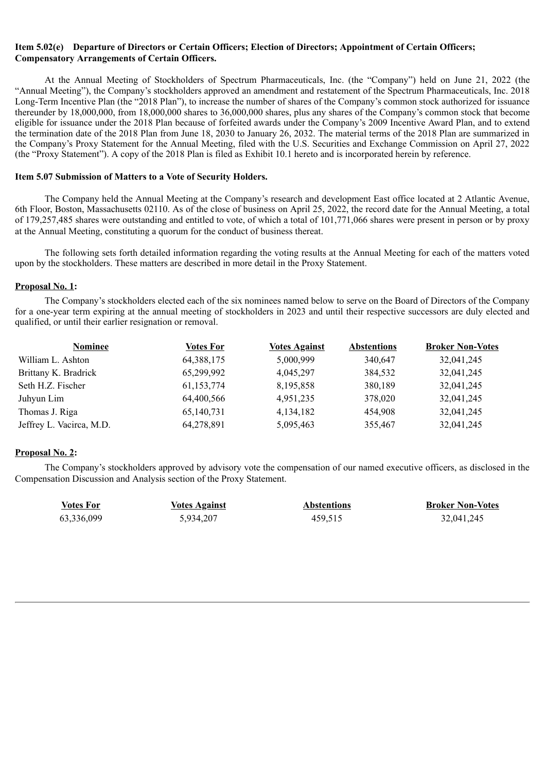### **Item 5.02(e) Departure of Directors or Certain Officers; Election of Directors; Appointment of Certain Officers; Compensatory Arrangements of Certain Officers.**

At the Annual Meeting of Stockholders of Spectrum Pharmaceuticals, Inc. (the "Company") held on June 21, 2022 (the "Annual Meeting"), the Company's stockholders approved an amendment and restatement of the Spectrum Pharmaceuticals, Inc. 2018 Long-Term Incentive Plan (the "2018 Plan"), to increase the number of shares of the Company's common stock authorized for issuance thereunder by 18,000,000, from 18,000,000 shares to 36,000,000 shares, plus any shares of the Company's common stock that become eligible for issuance under the 2018 Plan because of forfeited awards under the Company's 2009 Incentive Award Plan, and to extend the termination date of the 2018 Plan from June 18, 2030 to January 26, 2032. The material terms of the 2018 Plan are summarized in the Company's Proxy Statement for the Annual Meeting, filed with the U.S. Securities and Exchange Commission on April 27, 2022 (the "Proxy Statement"). A copy of the 2018 Plan is filed as Exhibit 10.1 hereto and is incorporated herein by reference.

### **Item 5.07 Submission of Matters to a Vote of Security Holders.**

The Company held the Annual Meeting at the Company's research and development East office located at 2 Atlantic Avenue, 6th Floor, Boston, Massachusetts 02110. As of the close of business on April 25, 2022, the record date for the Annual Meeting, a total of 179,257,485 shares were outstanding and entitled to vote, of which a total of 101,771,066 shares were present in person or by proxy at the Annual Meeting, constituting a quorum for the conduct of business thereat.

The following sets forth detailed information regarding the voting results at the Annual Meeting for each of the matters voted upon by the stockholders. These matters are described in more detail in the Proxy Statement.

### **Proposal No. 1:**

The Company's stockholders elected each of the six nominees named below to serve on the Board of Directors of the Company for a one-year term expiring at the annual meeting of stockholders in 2023 and until their respective successors are duly elected and qualified, or until their earlier resignation or removal.

| Nominee                  | <b>Votes For</b> | <b>Votes Against</b> | <b>Abstentions</b> | <b>Broker Non-Votes</b> |
|--------------------------|------------------|----------------------|--------------------|-------------------------|
| William L. Ashton        | 64, 388, 175     | 5,000,999            | 340,647            | 32,041,245              |
| Brittany K. Bradrick     | 65,299,992       | 4,045,297            | 384,532            | 32,041,245              |
| Seth H.Z. Fischer        | 61,153,774       | 8,195,858            | 380,189            | 32,041,245              |
| Juhyun Lim               | 64,400,566       | 4,951,235            | 378,020            | 32,041,245              |
| Thomas J. Riga           | 65,140,731       | 4,134,182            | 454,908            | 32,041,245              |
| Jeffrey L. Vacirca, M.D. | 64,278,891       | 5,095,463            | 355,467            | 32,041,245              |

### **Proposal No. 2:**

The Company's stockholders approved by advisory vote the compensation of our named executive officers, as disclosed in the Compensation Discussion and Analysis section of the Proxy Statement.

| Votes For  | <b>Votes Against</b> | <b>Abstentions</b> | <b>Broker Non-Votes</b> |
|------------|----------------------|--------------------|-------------------------|
| 63,336,099 | 5,934,207            | 459,515            | 32,041,245              |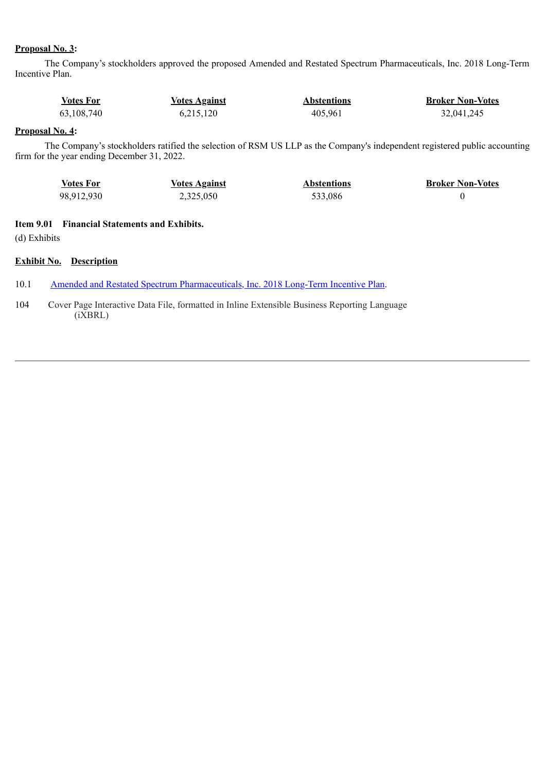### **Proposal No. 3:**

The Company's stockholders approved the proposed Amended and Restated Spectrum Pharmaceuticals, Inc. 2018 Long-Term Incentive Plan.

| Votes For  | <b>Votes Against</b> | <b>Abstentions</b> | <b>Broker Non-Votes</b> |
|------------|----------------------|--------------------|-------------------------|
| 63,108,740 | 6,215,120            | 405,961            | 32,041,245              |

### **Proposal No. 4:**

The Company's stockholders ratified the selection of RSM US LLP as the Company's independent registered public accounting firm for the year ending December 31, 2022.

| <b>Votes For</b> | <u>Votes Against</u> | <b>Abstentions</b> | <b>Broker Non-Votes</b> |
|------------------|----------------------|--------------------|-------------------------|
| 98,912,930       | 2,325,050            | 533,086            |                         |

### **Item 9.01 Financial Statements and Exhibits.**

(d) Exhibits

### **Exhibit No. Description**

10.1 Amended and Restated Spectrum [Pharmaceuticals,](#page-4-0) Inc. 2018 Long-Term Incentive Plan.

104 Cover Page Interactive Data File, formatted in Inline Extensible Business Reporting Language (iXBRL)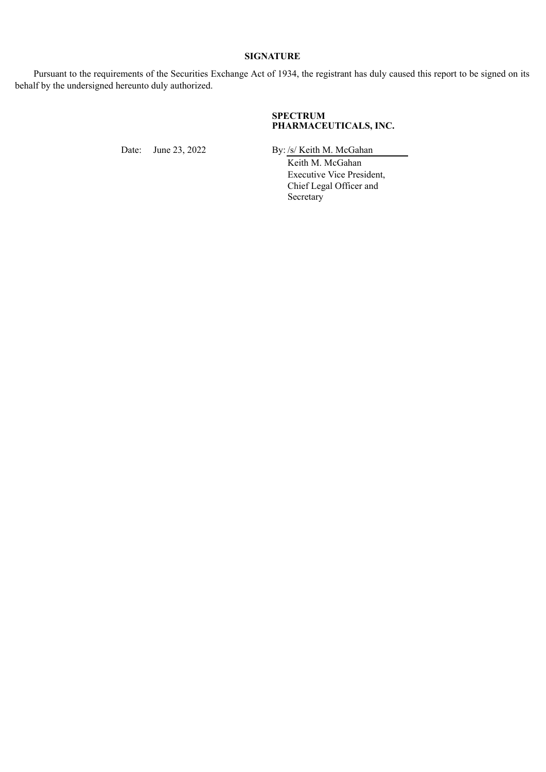### **SIGNATURE**

Pursuant to the requirements of the Securities Exchange Act of 1934, the registrant has duly caused this report to be signed on its behalf by the undersigned hereunto duly authorized.

### **SPECTRUM PHARMACEUTICALS, INC.**

Date: June 23, 2022 By: /s/ Keith M. McGahan

Keith M. McGahan Executive Vice President, Chief Legal Officer and Secretary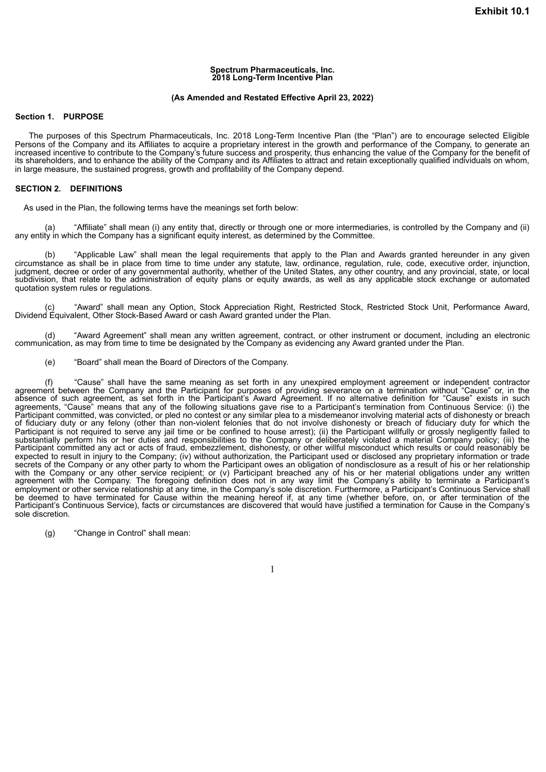#### **Spectrum Pharmaceuticals, Inc. 2018 Long-Term Incentive Plan**

#### **(As Amended and Restated Effective April 23, 2022)**

#### <span id="page-4-0"></span>**Section 1. PURPOSE**

The purposes of this Spectrum Pharmaceuticals, Inc. 2018 Long-Term Incentive Plan (the "Plan") are to encourage selected Eligible Persons of the Company and its Affiliates to acquire a proprietary interest in the growth and performance of the Company, to generate an increased incentive to contribute to the Company's future success and prosperity, thus enhancing the value of the Company for the benefit of its shareholders, and to enhance the ability of the Company and its Affiliates to attract and retain exceptionally qualified individuals on whom, in large measure, the sustained progress, growth and profitability of the Company depend.

#### **SECTION 2. DEFINITIONS**

As used in the Plan, the following terms have the meanings set forth below:

(a) "Affiliate" shall mean (i) any entity that, directly or through one or more intermediaries, is controlled by the Company and (ii) any entity in which the Company has a significant equity interest, as determined by the Committee.

(b) "Applicable Law" shall mean the legal requirements that apply to the Plan and Awards granted hereunder in any given circumstance as shall be in place from time to time under any statute, law, ordinance, regulation, rule, code, executive order, injunction, judgment, decree or order of any governmental authority, whether of the United States, any other country, and any provincial, state, or local subdivision, that relate to the administration of equity plans or equity awards, as well as any applicable stock exchange or automated quotation system rules or regulations.

(c) "Award" shall mean any Option, Stock Appreciation Right, Restricted Stock, Restricted Stock Unit, Performance Award, Dividend Equivalent, Other Stock-Based Award or cash Award granted under the Plan.

(d) "Award Agreement" shall mean any written agreement, contract, or other instrument or document, including an electronic communication, as may from time to time be designated by the Company as evidencing any Award granted under the Plan.

(e) "Board" shall mean the Board of Directors of the Company.

(f) "Cause" shall have the same meaning as set forth in any unexpired employment agreement or independent contractor agreement between the Company and the Participant for purposes of providing severance on a termination without "Cause" or, in the absence of such agreement, as set forth in the Participant's Award Agreement. If no alternative definition for "Cause" exists in such agreements, "Cause" means that any of the following situations gave rise to a Participant's termination from Continuous Service: (i) the Participant committed, was convicted, or pled no contest or any similar plea to a misdemeanor involving material acts of dishonesty or breach of fiduciary duty or any felony (other than non-violent felonies that do not involve dishonesty or breach of fiduciary duty for which the Participant is not required to serve any jail time or be confined to house arrest); (ii) the Participant willfully or grossly negligently failed to substantially perform his or her duties and responsibilities to the Company or deliberately violated a material Company policy; (iii) the Participant committed any act or acts of fraud, embezzlement, dishonesty, or other willful misconduct which results or could reasonably be expected to result in injury to the Company; (iv) without authorization, the Participant used or disclosed any proprietary information or trade secrets of the Company or any other party to whom the Participant owes an obligation of nondisclosure as a result of his or her relationship with the Company or any other service recipient; or (v) Participant breached any of his or her material obligations under any written agreement with the Company. The foregoing definition does not in any way limit the Company's ability to terminate a Participant's employment or other service relationship at any time, in the Company's sole discretion. Furthermore, a Participant's Continuous Service shall be deemed to have terminated for Cause within the meaning hereof if, at any time (whether before, on, or after termination of the Participant's Continuous Service), facts or circumstances are discovered that would have justified a termination for Cause in the Company's sole discretion.

(g) "Change in Control" shall mean: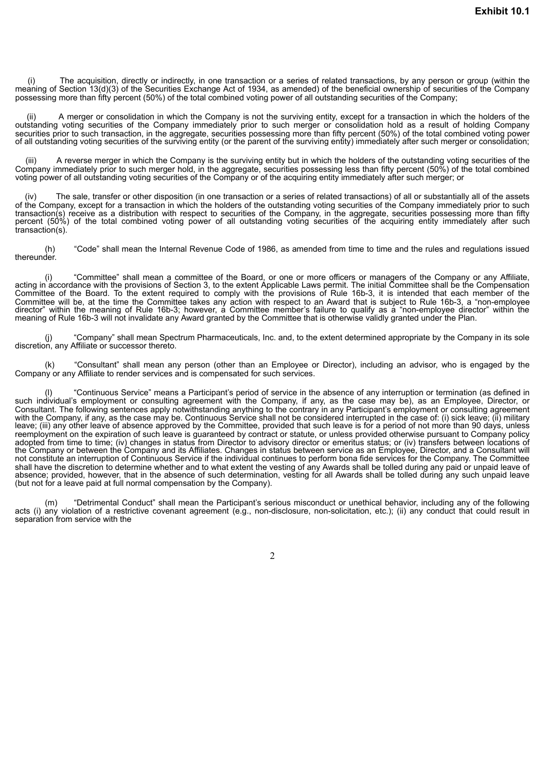(i) The acquisition, directly or indirectly, in one transaction or a series of related transactions, by any person or group (within the meaning of Section 13(d)(3) of the Securities Exchange Act of 1934, as amended) of the beneficial ownership of securities of the Company possessing more than fifty percent (50%) of the total combined voting power of all outstanding securities of the Company;

A merger or consolidation in which the Company is not the surviving entity, except for a transaction in which the holders of the outstanding voting securities of the Company immediately prior to such merger or consolidation hold as a result of holding Company securities prior to such transaction, in the aggregate, securities possessing more than fifty percent (50%) of the total combined voting power of all outstanding voting securities of the surviving entity (or the parent of the surviving entity) immediately after such merger or consolidation;

(iii) A reverse merger in which the Company is the surviving entity but in which the holders of the outstanding voting securities of the Company immediately prior to such merger hold, in the aggregate, securities possessing less than fifty percent (50%) of the total combined voting power of all outstanding voting securities of the Company or of the acquiring entity immediately after such merger; or

(iv) The sale, transfer or other disposition (in one transaction or a series of related transactions) of all or substantially all of the assets of the Company, except for a transaction in which the holders of the outstanding voting securities of the Company immediately prior to such transaction(s) receive as a distribution with respect to securities of the Company, in the aggregate, securities possessing more than fifty percent (50%) of the total combined voting power of all outstanding voting securities of the acquiring entity immediately after such transaction(s).

(h) "Code" shall mean the Internal Revenue Code of 1986, as amended from time to time and the rules and regulations issued thereunder.

(i) "Committee" shall mean a committee of the Board, or one or more officers or managers of the Company or any Affiliate, acting in accordance with the provisions of Section 3, to the extent Applicable Laws permit. The initial Committee shall be the Compensation Committee of the Board. To the extent required to comply with the provisions of Rule 16b-3, it is intended that each member of the Committee will be, at the time the Committee takes any action with respect to an Award that is subject to Rule 16b-3, a "non-employee director" within the meaning of Rule 16b-3; however, a Committee member's failure to qualify as a "non-employee director" within the meaning of Rule 16b-3 will not invalidate any Award granted by the Committee that is otherwise validly granted under the Plan.

(j) "Company" shall mean Spectrum Pharmaceuticals, Inc. and, to the extent determined appropriate by the Company in its sole discretion, any Affiliate or successor thereto.

"Consultant" shall mean any person (other than an Employee or Director), including an advisor, who is engaged by the Company or any Affiliate to render services and is compensated for such services.

(l) "Continuous Service" means a Participant's period of service in the absence of any interruption or termination (as defined in such individual's employment or consulting agreement with the Company, if any, as the case may be), as an Employee, Director, or Consultant. The following sentences apply notwithstanding anything to the contrary in any Participant's employment or consulting agreement with the Company, if any, as the case may be. Continuous Service shall not be considered interrupted in the case of: (i) sick leave; (ii) military leave; (iii) any other leave of absence approved by the Committee, provided that such leave is for a period of not more than 90 days, unless reemployment on the expiration of such leave is guaranteed by contract or statute, or unless provided otherwise pursuant to Company policy adopted from time to time; (iv) changes in status from Director to advisory director or emeritus status; or (iv) transfers between locations of the Company or between the Company and its Affiliates. Changes in status between service as an Employee, Director, and a Consultant will not constitute an interruption of Continuous Service if the individual continues to perform bona fide services for the Company. The Committee shall have the discretion to determine whether and to what extent the vesting of any Awards shall be tolled during any paid or unpaid leave of absence; provided, however, that in the absence of such determination, vesting for all Awards shall be tolled during any such unpaid leave (but not for a leave paid at full normal compensation by the Company).

(m) "Detrimental Conduct" shall mean the Participant's serious misconduct or unethical behavior, including any of the following acts (i) any violation of a restrictive covenant agreement (e.g., non-disclosure, non-solicitation, etc.); (ii) any conduct that could result in separation from service with the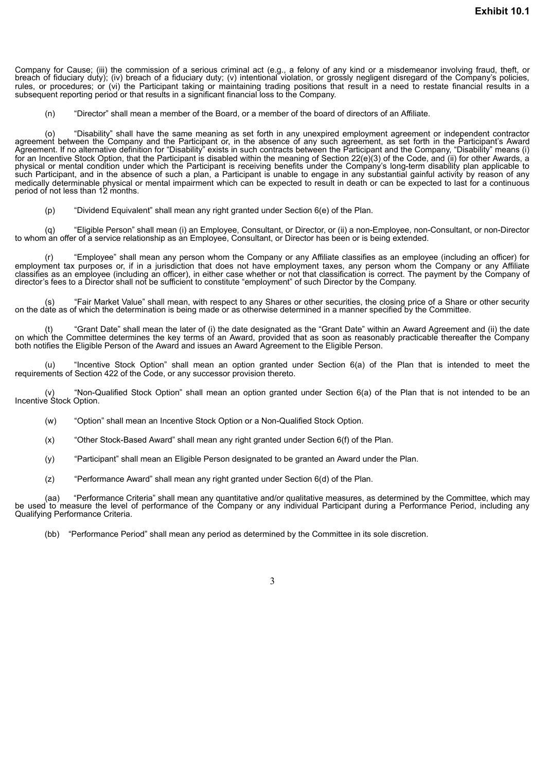Company for Cause; (iii) the commission of a serious criminal act (e.g., a felony of any kind or a misdemeanor involving fraud, theft, or breach of fiduciary duty); (iv) breach of a fiduciary duty; (v) intentional violation, or grossly negligent disregard of the Company's policies, rules, or procedures; or (vi) the Participant taking or maintaining trading positions that result in a need to restate financial results in a subsequent reporting period or that results in a significant financial loss to the Company.

(n) "Director" shall mean a member of the Board, or a member of the board of directors of an Affiliate.

(o) "Disability" shall have the same meaning as set forth in any unexpired employment agreement or independent contractor agreement between the Company and the Participant or, in the absence of any such agreement, as set forth in the Participant's Award Agreement. If no alternative definition for "Disability" exists in such contracts between the Participant and the Company, "Disability" means (i) for an Incentive Stock Option, that the Participant is disabled within the meaning of Section 22(e)(3) of the Code, and (ii) for other Awards, a physical or mental condition under which the Participant is receiving benefits under the Company's long-term disability plan applicable to such Participant, and in the absence of such a plan, a Participant is unable to engage in any substantial gainful activity by reason of any medically determinable physical or mental impairment which can be expected to result in death or can be expected to last for a continuous period of not less than 12 months.

(p) "Dividend Equivalent" shall mean any right granted under Section 6(e) of the Plan.

(q) "Eligible Person" shall mean (i) an Employee, Consultant, or Director, or (ii) a non-Employee, non-Consultant, or non-Director to whom an offer of a service relationship as an Employee, Consultant, or Director has been or is being extended.

(r) "Employee" shall mean any person whom the Company or any Affiliate classifies as an employee (including an officer) for employment tax purposes or, if in a jurisdiction that does not have employment taxes, any person whom the Company or any Affiliate classifies as an employee (including an officer), in either case whether or not that classification is correct. The payment by the Company of director's fees to a Director shall not be sufficient to constitute "employment" of such Director by the Company.

"Fair Market Value" shall mean, with respect to any Shares or other securities, the closing price of a Share or other security on the date as of which the determination is being made or as otherwise determined in a manner specified by the Committee.

(t) "Grant Date" shall mean the later of (i) the date designated as the "Grant Date" within an Award Agreement and (ii) the date on which the Committee determines the key terms of an Award, provided that as soon as reasonably practicable thereafter the Company both notifies the Eligible Person of the Award and issues an Award Agreement to the Eligible Person.

(u) "Incentive Stock Option" shall mean an option granted under Section 6(a) of the Plan that is intended to meet the requirements of Section 422 of the Code, or any successor provision thereto.

"Non-Qualified Stock Option" shall mean an option granted under Section 6(a) of the Plan that is not intended to be an Incentive Stock Option.

- (w) "Option" shall mean an Incentive Stock Option or a Non-Qualified Stock Option.
- (x) "Other Stock-Based Award" shall mean any right granted under Section 6(f) of the Plan.
- (y) "Participant" shall mean an Eligible Person designated to be granted an Award under the Plan.
- (z) "Performance Award" shall mean any right granted under Section 6(d) of the Plan.

(aa) "Performance Criteria" shall mean any quantitative and/or qualitative measures, as determined by the Committee, which may be used to measure the level of performance of the Company or any individual Participant during a Performance Period, including any Qualifying Performance Criteria.

(bb) "Performance Period" shall mean any period as determined by the Committee in its sole discretion.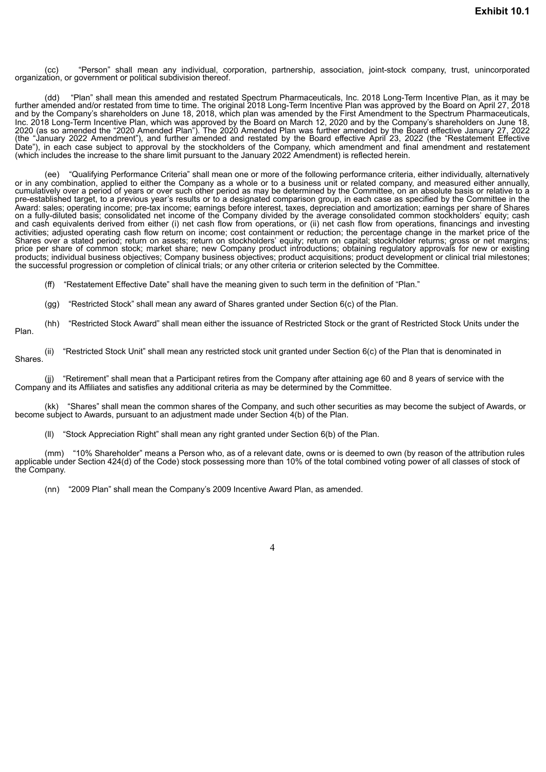(cc) "Person" shall mean any individual, corporation, partnership, association, joint-stock company, trust, unincorporated organization, or government or political subdivision thereof.

(dd) "Plan" shall mean this amended and restated Spectrum Pharmaceuticals, Inc. 2018 Long-Term Incentive Plan, as it may be further amended and/or restated from time to time. The original 2018 Long-Term Incentive Plan was approved by the Board on April 27, 2018 and by the Company's shareholders on June 18, 2018, which plan was amended by the First Amendment to the Spectrum Pharmaceuticals, Inc. 2018 Long-Term Incentive Plan, which was approved by the Board on March 12, 2020 and by the Company's shareholders on June 18, 2020 (as so amended the "2020 Amended Plan"). The 2020 Amended Plan was further amended by the Board effective January 27, 2022 (the "January 2022 Amendment"), and further amended and restated by the Board effective April 23, 2022 (the "Restatement Effective Date"), in each case subject to approval by the stockholders of the Company, which amendment and final amendment and restatement (which includes the increase to the share limit pursuant to the January 2022 Amendment) is reflected herein.

(ee) "Qualifying Performance Criteria" shall mean one or more of the following performance criteria, either individually, alternatively or in any combination, applied to either the Company as a whole or to a business unit or related company, and measured either annually, cumulatively over a period of years or over such other period as may be determined by the Committee, on an absolute basis or relative to a pre-established target, to a previous year's results or to a designated comparison group, in each case as specified by the Committee in the Award: sales; operating income; pre-tax income; earnings before interest, taxes, depreciation and amortization; earnings per share of Shares on a fully-diluted basis; consolidated net income of the Company divided by the average consolidated common stockholders' equity; cash and cash equivalents derived from either (i) net cash flow from operations, or (ii) net cash flow from operations, financings and investing activities; adjusted operating cash flow return on income; cost containment or reduction; the percentage change in the market price of the Shares over a stated period; return on assets; return on stockholders' equity; return on capital; stockholder returns; gross or net margins; price per share of common stock; market share; new Company product introductions; obtaining regulatory approvals for new or existing products; individual business objectives; Company business objectives; product acquisitions; product development or clinical trial milestones; the successful progression or completion of clinical trials; or any other criteria or criterion selected by the Committee.

(ff) "Restatement Effective Date" shall have the meaning given to such term in the definition of "Plan."

(gg) "Restricted Stock" shall mean any award of Shares granted under Section 6(c) of the Plan.

(hh) "Restricted Stock Award" shall mean either the issuance of Restricted Stock or the grant of Restricted Stock Units under the Plan.

(ii) "Restricted Stock Unit" shall mean any restricted stock unit granted under Section 6(c) of the Plan that is denominated in Shares.

(jj) "Retirement" shall mean that a Participant retires from the Company after attaining age 60 and 8 years of service with the Company and its Affiliates and satisfies any additional criteria as may be determined by the Committee.

(kk) "Shares" shall mean the common shares of the Company, and such other securities as may become the subject of Awards, or become subject to Awards, pursuant to an adjustment made under Section 4(b) of the Plan.

(ll) "Stock Appreciation Right" shall mean any right granted under Section 6(b) of the Plan.

(mm) "10% Shareholder" means a Person who, as of a relevant date, owns or is deemed to own (by reason of the attribution rules applicable under Section 424(d) of the Code) stock possessing more than 10% of the total combined voting power of all classes of stock of the Company.

(nn) "2009 Plan" shall mean the Company's 2009 Incentive Award Plan, as amended.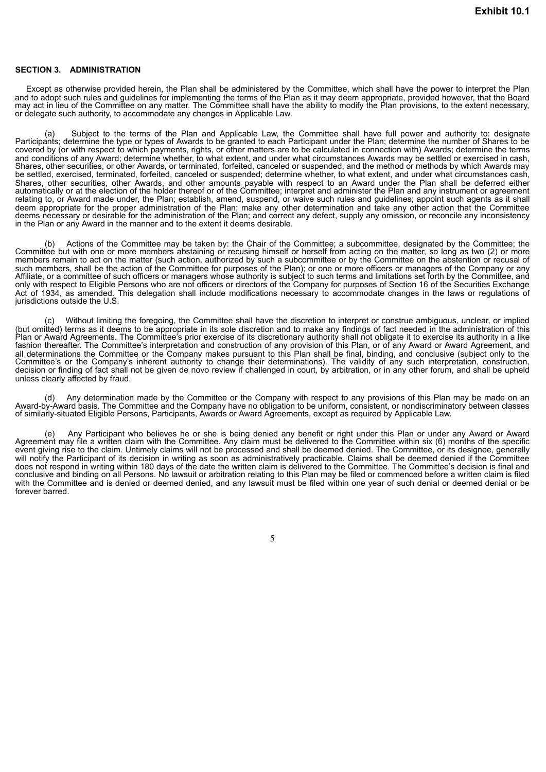#### **SECTION 3. ADMINISTRATION**

Except as otherwise provided herein, the Plan shall be administered by the Committee, which shall have the power to interpret the Plan and to adopt such rules and guidelines for implementing the terms of the Plan as it may deem appropriate, provided however, that the Board may act in lieu of the Committee on any matter. The Committee shall have the ability to modify the Plan provisions, to the extent necessary, or delegate such authority, to accommodate any changes in Applicable Law.

(a) Subject to the terms of the Plan and Applicable Law, the Committee shall have full power and authority to: designate Participants; determine the type or types of Awards to be granted to each Participant under the Plan; determine the number of Shares to be covered by (or with respect to which payments, rights, or other matters are to be calculated in connection with) Awards; determine the terms and conditions of any Award; determine whether, to what extent, and under what circumstances Awards may be settled or exercised in cash, Shares, other securities, or other Awards, or terminated, forfeited, canceled or suspended, and the method or methods by which Awards may be settled, exercised, terminated, forfeited, canceled or suspended; determine whether, to what extent, and under what circumstances cash, Shares, other securities, other Awards, and other amounts payable with respect to an Award under the Plan shall be deferred either automatically or at the election of the holder thereof or of the Committee; interpret and administer the Plan and any instrument or agreement relating to, or Award made under, the Plan; establish, amend, suspend, or waive such rules and guidelines; appoint such agents as it shall deem appropriate for the proper administration of the Plan; make any other determination and take any other action that the Committee deems necessary or desirable for the administration of the Plan; and correct any defect, supply any omission, or reconcile any inconsistency in the Plan or any Award in the manner and to the extent it deems desirable.

(b) Actions of the Committee may be taken by: the Chair of the Committee; a subcommittee, designated by the Committee; the Committee but with one or more members abstaining or recusing himself or herself from acting on the matter, so long as two (2) or more members remain to act on the matter (such action, authorized by such a subcommittee or by the Committee on the abstention or recusal of such members, shall be the action of the Committee for purposes of the Plan); or one or more officers or managers of the Company or any Affiliate, or a committee of such officers or managers whose authority is subject to such terms and limitations set forth by the Committee, and only with respect to Eligible Persons who are not officers or directors of the Company for purposes of Section 16 of the Securities Exchange Act of 1934, as amended. This delegation shall include modifications necessary to accommodate changes in the laws or regulations of jurisdictions outside the U.S.

(c) Without limiting the foregoing, the Committee shall have the discretion to interpret or construe ambiguous, unclear, or implied (but omitted) terms as it deems to be appropriate in its sole discretion and to make any findings of fact needed in the administration of this Plan or Award Agreements. The Committee's prior exercise of its discretionary authority shall not obligate it to exercise its authority in a like fashion thereafter. The Committee's interpretation and construction of any provision of this Plan, or of any Award or Award Agreement, and all determinations the Committee or the Company makes pursuant to this Plan shall be final, binding, and conclusive (subject only to the Committee's or the Company's inherent authority to change their determinations). The validity of any such interpretation, construction, decision or finding of fact shall not be given de novo review if challenged in court, by arbitration, or in any other forum, and shall be upheld unless clearly affected by fraud.

(d) Any determination made by the Committee or the Company with respect to any provisions of this Plan may be made on an Award-by-Award basis. The Committee and the Company have no obligation to be uniform, consistent, or nondiscriminatory between classes of similarly-situated Eligible Persons, Participants, Awards or Award Agreements, except as required by Applicable Law.

(e) Any Participant who believes he or she is being denied any benefit or right under this Plan or under any Award or Award Agreement may file a written claim with the Committee. Any claim must be delivered to the Committee within six (6) months of the specific event giving rise to the claim. Untimely claims will not be processed and shall be deemed denied. The Committee, or its designee, generally will notify the Participant of its decision in writing as soon as administratively practicable. Claims shall be deemed denied if the Committee does not respond in writing within 180 days of the date the written claim is delivered to the Committee. The Committee's decision is final and conclusive and binding on all Persons. No lawsuit or arbitration relating to this Plan may be filed or commenced before a written claim is filed with the Committee and is denied or deemed denied, and any lawsuit must be filed within one year of such denial or deemed denial or be forever barred.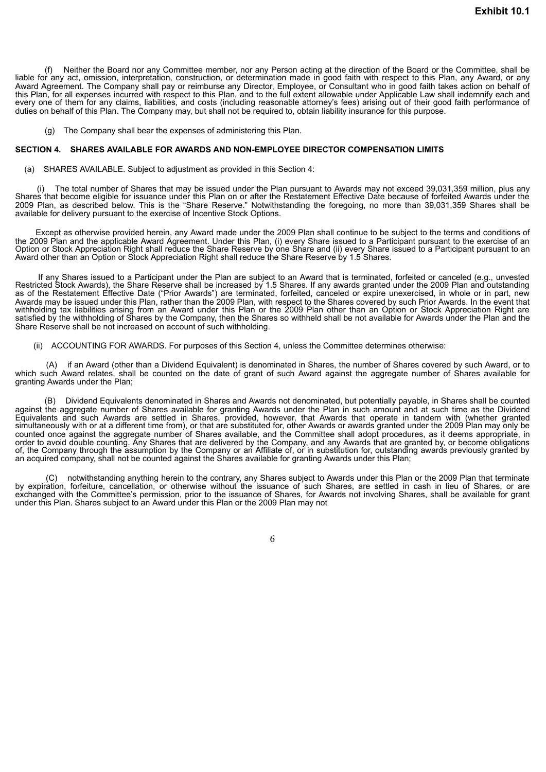(f) Neither the Board nor any Committee member, nor any Person acting at the direction of the Board or the Committee, shall be liable for any act, omission, interpretation, construction, or determination made in good faith with respect to this Plan, any Award, or any Award Agreement. The Company shall pay or reimburse any Director, Employee, or Consultant who in good faith takes action on behalf of this Plan, for all expenses incurred with respect to this Plan, and to the full extent allowable under Applicable Law shall indemnify each and every one of them for any claims, liabilities, and costs (including reasonable attorney's fees) arising out of their good faith performance of duties on behalf of this Plan. The Company may, but shall not be required to, obtain liability insurance for this purpose.

(g) The Company shall bear the expenses of administering this Plan.

#### **SECTION 4. SHARES AVAILABLE FOR AWARDS AND NON-EMPLOYEE DIRECTOR COMPENSATION LIMITS**

(a) SHARES AVAILABLE. Subject to adjustment as provided in this Section 4:

(i) The total number of Shares that may be issued under the Plan pursuant to Awards may not exceed 39,031,359 million, plus any Shares that become eligible for issuance under this Plan on or after the Restatement Effective Date because of forfeited Awards under the 2009 Plan, as described below. This is the "Share Reserve." Notwithstanding the foregoing, no more than 39,031,359 Shares shall be available for delivery pursuant to the exercise of Incentive Stock Options.

Except as otherwise provided herein, any Award made under the 2009 Plan shall continue to be subject to the terms and conditions of the 2009 Plan and the applicable Award Agreement. Under this Plan, (i) every Share issued to a Participant pursuant to the exercise of an Option or Stock Appreciation Right shall reduce the Share Reserve by one Share and (ii) every Share issued to a Participant pursuant to an Award other than an Option or Stock Appreciation Right shall reduce the Share Reserve by 1.5 Shares.

If any Shares issued to a Participant under the Plan are subject to an Award that is terminated, forfeited or canceled (e.g., unvested Restricted Stock Awards), the Share Reserve shall be increased by 1.5 Shares. If any awards granted under the 2009 Plan and outstanding as of the Restatement Effective Date ("Prior Awards") are terminated, forfeited, canceled or expire unexercised, in whole or in part, new Awards may be issued under this Plan, rather than the 2009 Plan, with respect to the Shares covered by such Prior Awards. In the event that withholding tax liabilities arising from an Award under this Plan or the 2009 Plan other than an Option or Stock Appreciation Right are satisfied by the withholding of Shares by the Company, then the Shares so withheld shall be not available for Awards under the Plan and the Share Reserve shall be not increased on account of such withholding.

(ii) ACCOUNTING FOR AWARDS. For purposes of this Section 4, unless the Committee determines otherwise:

(A) if an Award (other than a Dividend Equivalent) is denominated in Shares, the number of Shares covered by such Award, or to which such Award relates, shall be counted on the date of grant of such Award against the aggregate number of Shares available for granting Awards under the Plan;

(B) Dividend Equivalents denominated in Shares and Awards not denominated, but potentially payable, in Shares shall be counted against the aggregate number of Shares available for granting Awards under the Plan in such amount and at such time as the Dividend Equivalents and such Awards are settled in Shares, provided, however, that Awards that operate in tandem with (whether granted simultaneously with or at a different time from), or that are substituted for, other Awards or awards granted under the 2009 Plan may only be counted once against the aggregate number of Shares available, and the Committee shall adopt procedures, as it deems appropriate, in order to avoid double counting. Any Shares that are delivered by the Company, and any Awards that are granted by, or become obligations of, the Company through the assumption by the Company or an Affiliate of, or in substitution for, outstanding awards previously granted by an acquired company, shall not be counted against the Shares available for granting Awards under this Plan;

(C) notwithstanding anything herein to the contrary, any Shares subject to Awards under this Plan or the 2009 Plan that terminate by expiration, forfeiture, cancellation, or otherwise without the issuance of such Shares, are settled in cash in lieu of Shares, or are exchanged with the Committee's permission, prior to the issuance of Shares, for Awards not involving Shares, shall be available for grant under this Plan. Shares subject to an Award under this Plan or the 2009 Plan may not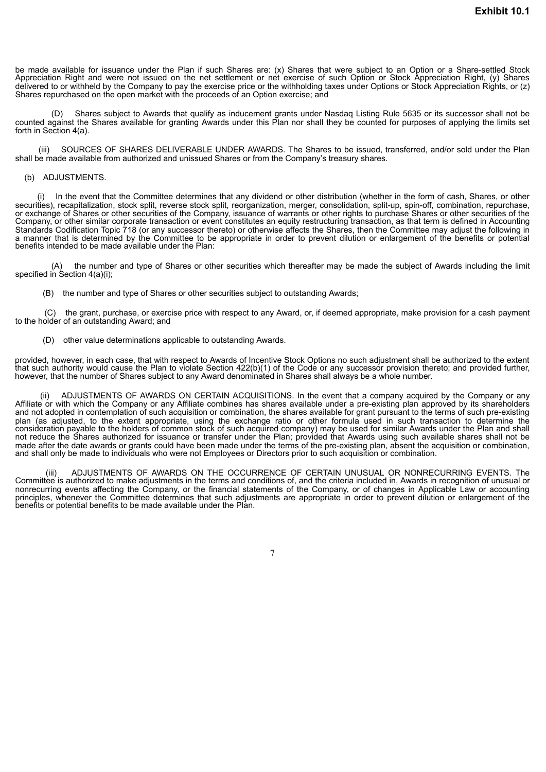be made available for issuance under the Plan if such Shares are: (x) Shares that were subject to an Option or a Share-settled Stock Appreciation Right and were not issued on the net settlement or net exercise of such Option or Stock Appreciation Right, (y) Shares delivered to or withheld by the Company to pay the exercise price or the withholding taxes under Options or Stock Appreciation Rights, or (z) Shares repurchased on the open market with the proceeds of an Option exercise; and

(D) Shares subject to Awards that qualify as inducement grants under Nasdaq Listing Rule 5635 or its successor shall not be counted against the Shares available for granting Awards under this Plan nor shall they be counted for purposes of applying the limits set forth in Section 4(a).

(iii) SOURCES OF SHARES DELIVERABLE UNDER AWARDS. The Shares to be issued, transferred, and/or sold under the Plan shall be made available from authorized and unissued Shares or from the Company's treasury shares.

#### (b) ADJUSTMENTS.

(i) In the event that the Committee determines that any dividend or other distribution (whether in the form of cash, Shares, or other securities), recapitalization, stock split, reverse stock split, reorganization, merger, consolidation, split-up, spin-off, combination, repurchase, or exchange of Shares or other securities of the Company, issuance of warrants or other rights to purchase Shares or other securities of the Company, or other similar corporate transaction or event constitutes an equity restructuring transaction, as that term is defined in Accounting Standards Codification Topic 718 (or any successor thereto) or otherwise affects the Shares, then the Committee may adjust the following in a manner that is determined by the Committee to be appropriate in order to prevent dilution or enlargement of the benefits or potential benefits intended to be made available under the Plan:

(A) the number and type of Shares or other securities which thereafter may be made the subject of Awards including the limit specified in Section 4(a)(i);

(B) the number and type of Shares or other securities subject to outstanding Awards;

(C) the grant, purchase, or exercise price with respect to any Award, or, if deemed appropriate, make provision for a cash payment to the holder of an outstanding Award; and

(D) other value determinations applicable to outstanding Awards.

provided, however, in each case, that with respect to Awards of Incentive Stock Options no such adjustment shall be authorized to the extent that such authority would cause the Plan to violate Section 422(b)(1) of the Code or any successor provision thereto; and provided further, however, that the number of Shares subject to any Award denominated in Shares shall always be a whole number.

(ii) ADJUSTMENTS OF AWARDS ON CERTAIN ACQUISITIONS. In the event that a company acquired by the Company or any Affiliate or with which the Company or any Affiliate combines has shares available under a pre-existing plan approved by its shareholders and not adopted in contemplation of such acquisition or combination, the shares available for grant pursuant to the terms of such pre-existing plan (as adjusted, to the extent appropriate, using the exchange ratio or other formula used in such transaction to determine the consideration payable to the holders of common stock of such acquired company) may be used for similar Awards under the Plan and shall not reduce the Shares authorized for issuance or transfer under the Plan; provided that Awards using such available shares shall not be made after the date awards or grants could have been made under the terms of the pre-existing plan, absent the acquisition or combination, and shall only be made to individuals who were not Employees or Directors prior to such acquisition or combination.

ADJUSTMENTS OF AWARDS ON THE OCCURRENCE OF CERTAIN UNUSUAL OR NONRECURRING EVENTS. The Committee is authorized to make adjustments in the terms and conditions of, and the criteria included in, Awards in recognition of unusual or nonrecurring events affecting the Company, or the financial statements of the Company, or of changes in Applicable Law or accounting principles, whenever the Committee determines that such adjustments are appropriate in order to prevent dilution or enlargement of the benefits or potential benefits to be made available under the Plan.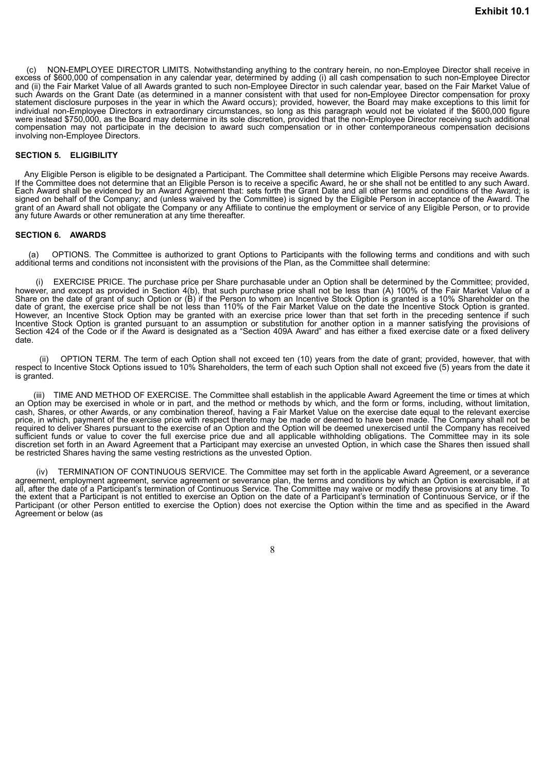(c) NON-EMPLOYEE DIRECTOR LIMITS. Notwithstanding anything to the contrary herein, no non-Employee Director shall receive in excess of \$600,000 of compensation in any calendar year, determined by adding (i) all cash compensation to such non-Employee Director and (ii) the Fair Market Value of all Awards granted to such non-Employee Director in such calendar year, based on the Fair Market Value of such Awards on the Grant Date (as determined in a manner consistent with that used for non-Employee Director compensation for proxy statement disclosure purposes in the year in which the Award occurs); provided, however, the Board may make exceptions to this limit for individual non-Employee Directors in extraordinary circumstances, so long as this paragraph would not be violated if the \$600,000 figure were instead \$750,000, as the Board may determine in its sole discretion, provided that the non-Employee Director receiving such additional compensation may not participate in the decision to award such compensation or in other contemporaneous compensation decisions involving non-Employee Directors.

#### **SECTION 5. ELIGIBILITY**

Any Eligible Person is eligible to be designated a Participant. The Committee shall determine which Eligible Persons may receive Awards. If the Committee does not determine that an Eligible Person is to receive a specific Award, he or she shall not be entitled to any such Award. Each Award shall be evidenced by an Award Agreement that: sets forth the Grant Date and all other terms and conditions of the Award; is signed on behalf of the Company; and (unless waived by the Committee) is signed by the Eligible Person in acceptance of the Award. The grant of an Award shall not obligate the Company or any Affiliate to continue the employment or service of any Eligible Person, or to provide any future Awards or other remuneration at any time thereafter.

#### **SECTION 6. AWARDS**

(a) OPTIONS. The Committee is authorized to grant Options to Participants with the following terms and conditions and with such additional terms and conditions not inconsistent with the provisions of the Plan, as the Committee shall determine:

(i) EXERCISE PRICE. The purchase price per Share purchasable under an Option shall be determined by the Committee; provided, however, and except as provided in Section 4(b), that such purchase price shall not be less than (A) 100% of the Fair Market Value of a Share on the date of grant of such Option or (B) if the Person to whom an Incentive Stock Option is granted is a 10% Shareholder on the date of grant, the exercise price shall be not less than 110% of the Fair Market Value on the date the Incentive Stock Option is granted. However, an Incentive Stock Option may be granted with an exercise price lower than that set forth in the preceding sentence if such Incentive Stock Option is granted pursuant to an assumption or substitution for another option in a manner satisfying the provisions of Section 424 of the Code or if the Award is designated as a "Section 409A Award" and has either a fixed exercise date or a fixed delivery date.

(ii) OPTION TERM. The term of each Option shall not exceed ten (10) years from the date of grant; provided, however, that with respect to Incentive Stock Options issued to 10% Shareholders, the term of each such Option shall not exceed five (5) years from the date it is granted.

(iii) TIME AND METHOD OF EXERCISE. The Committee shall establish in the applicable Award Agreement the time or times at which an Option may be exercised in whole or in part, and the method or methods by which, and the form or forms, including, without limitation, cash, Shares, or other Awards, or any combination thereof, having a Fair Market Value on the exercise date equal to the relevant exercise price, in which, payment of the exercise price with respect thereto may be made or deemed to have been made. The Company shall not be required to deliver Shares pursuant to the exercise of an Option and the Option will be deemed unexercised until the Company has received sufficient funds or value to cover the full exercise price due and all applicable withholding obligations. The Committee may in its sole discretion set forth in an Award Agreement that a Participant may exercise an unvested Option, in which case the Shares then issued shall be restricted Shares having the same vesting restrictions as the unvested Option.

(iv) TERMINATION OF CONTINUOUS SERVICE. The Committee may set forth in the applicable Award Agreement, or a severance agreement, employment agreement, service agreement or severance plan, the terms and conditions by which an Option is exercisable, if at all, after the date of a Participant's termination of Continuous Service. The Committee may waive or modify these provisions at any time. To the extent that a Participant is not entitled to exercise an Option on the date of a Participant's termination of Continuous Service, or if the Participant (or other Person entitled to exercise the Option) does not exercise the Option within the time and as specified in the Award Agreement or below (as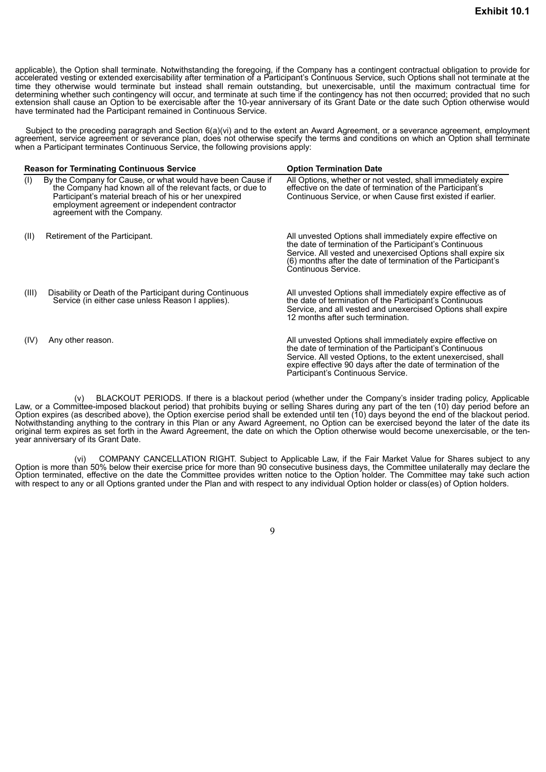applicable), the Option shall terminate. Notwithstanding the foregoing, if the Company has a contingent contractual obligation to provide for accelerated vesting or extended exercisability after termination of a Participant's Continuous Service, such Options shall not terminate at the time they otherwise would terminate but instead shall remain outstanding, but unexercisable, until the maximum contractual time for determining whether such contingency will occur, and terminate at such time if the contingency has not then occurred; provided that no such extension shall cause an Option to be exercisable after the 10-year anniversary of its Grant Date or the date such Option otherwise would have terminated had the Participant remained in Continuous Service.

Subject to the preceding paragraph and Section 6(a)(vi) and to the extent an Award Agreement, or a severance agreement, employment agreement, service agreement or severance plan, does not otherwise specify the terms and conditions on which an Option shall terminate when a Participant terminates Continuous Service, the following provisions apply:

|       | <b>Reason for Terminating Continuous Service</b>                                                                                                                                                                                                                   | <b>Option Termination Date</b>                                                                                                                                                                                                                                                               |  |  |
|-------|--------------------------------------------------------------------------------------------------------------------------------------------------------------------------------------------------------------------------------------------------------------------|----------------------------------------------------------------------------------------------------------------------------------------------------------------------------------------------------------------------------------------------------------------------------------------------|--|--|
| (1)   | By the Company for Cause, or what would have been Cause if<br>the Company had known all of the relevant facts, or due to<br>Participant's material breach of his or her unexpired<br>employment agreement or independent contractor<br>agreement with the Company. | All Options, whether or not vested, shall immediately expire<br>effective on the date of termination of the Participant's<br>Continuous Service, or when Cause first existed if earlier.                                                                                                     |  |  |
| (II)  | Retirement of the Participant.                                                                                                                                                                                                                                     | All unvested Options shall immediately expire effective on<br>the date of termination of the Participant's Continuous<br>Service. All vested and unexercised Options shall expire six<br>(6) months after the date of termination of the Participant's<br>Continuous Service.                |  |  |
| (III) | Disability or Death of the Participant during Continuous<br>Service (in either case unless Reason I applies).                                                                                                                                                      | All unvested Options shall immediately expire effective as of<br>the date of termination of the Participant's Continuous<br>Service, and all vested and unexercised Options shall expire<br>12 months after such termination.                                                                |  |  |
| (IV)  | Any other reason.                                                                                                                                                                                                                                                  | All unvested Options shall immediately expire effective on<br>the date of termination of the Participant's Continuous<br>Service. All vested Options, to the extent unexercised, shall<br>expire effective 90 days after the date of termination of the<br>Participant's Continuous Service. |  |  |

(v) BLACKOUT PERIODS. If there is a blackout period (whether under the Company's insider trading policy, Applicable Law, or a Committee-imposed blackout period) that prohibits buying or selling Shares during any part of the ten (10) day period before an Option expires (as described above), the Option exercise period shall be extended until ten (10) days beyond the end of the blackout period. Notwithstanding anything to the contrary in this Plan or any Award Agreement, no Option can be exercised beyond the later of the date its original term expires as set forth in the Award Agreement, the date on which the Option otherwise would become unexercisable, or the tenyear anniversary of its Grant Date.

(vi) COMPANY CANCELLATION RIGHT. Subject to Applicable Law, if the Fair Market Value for Shares subject to any Option is more than 50% below their exercise price for more than 90 consecutive business days, the Committee unilaterally may declare the Option terminated, effective on the date the Committee provides written notice to the Option holder. The Committee may take such action with respect to any or all Options granted under the Plan and with respect to any individual Option holder or class(es) of Option holders.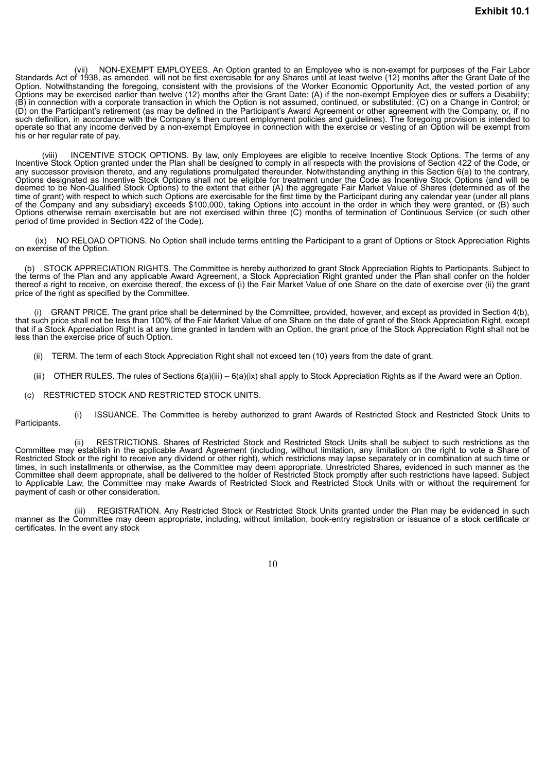(vii) NON-EXEMPT EMPLOYEES. An Option granted to an Employee who is non-exempt for purposes of the Fair Labor Standards Act of 1938, as amended, will not be first exercisable for any Shares until at least twelve (12) months after the Grant Date of the Option. Notwithstanding the foregoing, consistent with the provisions of the Worker Economic Opportunity Act, the vested portion of any Options may be exercised earlier than twelve (12) months after the Grant Date: (A) if the non-exempt Employee dies or suffers a Disability; (B) in connection with a corporate transaction in which the Option is not assumed, continued, or substituted; (C) on a Change in Control; or (D) on the Participant's retirement (as may be defined in the Participant's Award Agreement or other agreement with the Company, or, if no such definition, in accordance with the Company's then current employment policies and guidelines). The foregoing provision is intended to operate so that any income derived by a non-exempt Employee in connection with the exercise or vesting of an Option will be exempt from his or her regular rate of pay.

(viii) INCENTIVE STOCK OPTIONS. By law, only Employees are eligible to receive Incentive Stock Options. The terms of any Incentive Stock Option granted under the Plan shall be designed to comply in all respects with the provisions of Section 422 of the Code, or any successor provision thereto, and any regulations promulgated thereunder. Notwithstanding anything in this Section 6(a) to the contrary, Options designated as Incentive Stock Options shall not be eligible for treatment under the Code as Incentive Stock Options (and will be deemed to be Non-Qualified Stock Options) to the extent that either (A) the aggregate Fair Market Value of Shares (determined as of the time of grant) with respect to which such Options are exercisable for the first time by the Participant during any calendar year (under all plans of the Company and any subsidiary) exceeds \$100,000, taking Options into account in the order in which they were granted, or (B) such Options otherwise remain exercisable but are not exercised within three (C) months of termination of Continuous Service (or such other period of time provided in Section 422 of the Code).

(ix) NO RELOAD OPTIONS. No Option shall include terms entitling the Participant to a grant of Options or Stock Appreciation Rights on exercise of the Option.

(b) STOCK APPRECIATION RIGHTS. The Committee is hereby authorized to grant Stock Appreciation Rights to Participants. Subject to the terms of the Plan and any applicable Award Agreement, a Stock Appreciation Right granted under the Plan shall confer on the holder thereof a right to receive, on exercise thereof, the excess of (i) the Fair Market Value of one Share on the date of exercise over (ii) the grant price of the right as specified by the Committee.

(i) GRANT PRICE. The grant price shall be determined by the Committee, provided, however, and except as provided in Section 4(b), that such price shall not be less than 100% of the Fair Market Value of one Share on the date of grant of the Stock Appreciation Right, except that if a Stock Appreciation Right is at any time granted in tandem with an Option, the grant price of the Stock Appreciation Right shall not be less than the exercise price of such Option.

- (ii) TERM. The term of each Stock Appreciation Right shall not exceed ten (10) years from the date of grant.
- (iii) OTHER RULES. The rules of Sections 6(a)(iii) 6(a)(ix) shall apply to Stock Appreciation Rights as if the Award were an Option.
- (c) RESTRICTED STOCK AND RESTRICTED STOCK UNITS.

(i) ISSUANCE. The Committee is hereby authorized to grant Awards of Restricted Stock and Restricted Stock Units to Participants.

(ii) RESTRICTIONS. Shares of Restricted Stock and Restricted Stock Units shall be subject to such restrictions as the Committee may establish in the applicable Award Agreement (including, without limitation, any limitation on the right to vote a Share of Restricted Stock or the right to receive any dividend or other right), which restrictions may lapse separately or in combination at such time or times, in such installments or otherwise, as the Committee may deem appropriate. Unrestricted Shares, evidenced in such manner as the Committee shall deem appropriate, shall be delivered to the holder of Restricted Stock promptly after such restrictions have lapsed. Subject to Applicable Law, the Committee may make Awards of Restricted Stock and Restricted Stock Units with or without the requirement for payment of cash or other consideration.

(iii) REGISTRATION. Any Restricted Stock or Restricted Stock Units granted under the Plan may be evidenced in such manner as the Committee may deem appropriate, including, without limitation, book-entry registration or issuance of a stock certificate or certificates. In the event any stock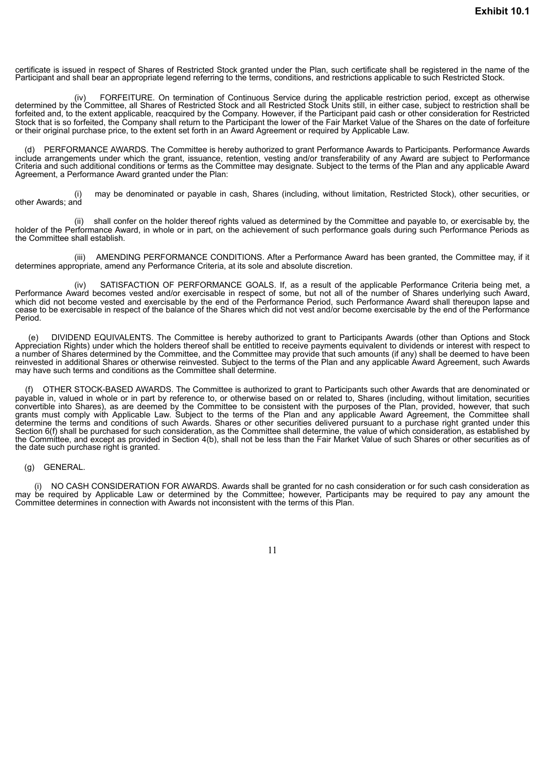certificate is issued in respect of Shares of Restricted Stock granted under the Plan, such certificate shall be registered in the name of the Participant and shall bear an appropriate legend referring to the terms, conditions, and restrictions applicable to such Restricted Stock.

(iv) FORFEITURE. On termination of Continuous Service during the applicable restriction period, except as otherwise determined by the Committee, all Shares of Restricted Stock and all Restricted Stock Units still, in either case, subject to restriction shall be forfeited and, to the extent applicable, reacquired by the Company. However, if the Participant paid cash or other consideration for Restricted Stock that is so forfeited, the Company shall return to the Participant the lower of the Fair Market Value of the Shares on the date of forfeiture or their original purchase price, to the extent set forth in an Award Agreement or required by Applicable Law.

(d) PERFORMANCE AWARDS. The Committee is hereby authorized to grant Performance Awards to Participants. Performance Awards include arrangements under which the grant, issuance, retention, vesting and/or transferability of any Award are subject to Performance Criteria and such additional conditions or terms as the Committee may designate. Subject to the terms of the Plan and any applicable Award Agreement, a Performance Award granted under the Plan:

may be denominated or payable in cash, Shares (including, without limitation, Restricted Stock), other securities, or other Awards; and

(ii) shall confer on the holder thereof rights valued as determined by the Committee and payable to, or exercisable by, the holder of the Performance Award, in whole or in part, on the achievement of such performance goals during such Performance Periods as the Committee shall establish.

(iii) AMENDING PERFORMANCE CONDITIONS. After a Performance Award has been granted, the Committee may, if it determines appropriate, amend any Performance Criteria, at its sole and absolute discretion.

SATISFACTION OF PERFORMANCE GOALS. If, as a result of the applicable Performance Criteria being met, a Performance Award becomes vested and/or exercisable in respect of some, but not all of the number of Shares underlying such Award, which did not become vested and exercisable by the end of the Performance Period, such Performance Award shall thereupon lapse and cease to be exercisable in respect of the balance of the Shares which did not vest and/or become exercisable by the end of the Performance Period.

(e) DIVIDEND EQUIVALENTS. The Committee is hereby authorized to grant to Participants Awards (other than Options and Stock Appreciation Rights) under which the holders thereof shall be entitled to receive payments equivalent to dividends or interest with respect to a number of Shares determined by the Committee, and the Committee may provide that such amounts (if any) shall be deemed to have been reinvested in additional Shares or otherwise reinvested. Subject to the terms of the Plan and any applicable Award Agreement, such Awards may have such terms and conditions as the Committee shall determine.

(f) OTHER STOCK-BASED AWARDS. The Committee is authorized to grant to Participants such other Awards that are denominated or payable in, valued in whole or in part by reference to, or otherwise based on or related to, Shares (including, without limitation, securities convertible into Shares), as are deemed by the Committee to be consistent with the purposes of the Plan, provided, however, that such grants must comply with Applicable Law. Subject to the terms of the Plan and any applicable Award Agreement, the Committee shall determine the terms and conditions of such Awards. Shares or other securities delivered pursuant to a purchase right granted under this Section 6(f) shall be purchased for such consideration, as the Committee shall determine, the value of which consideration, as established by the Committee, and except as provided in Section 4(b), shall not be less than the Fair Market Value of such Shares or other securities as of the date such purchase right is granted.

#### (g) GENERAL.

(i) NO CASH CONSIDERATION FOR AWARDS. Awards shall be granted for no cash consideration or for such cash consideration as may be required by Applicable Law or determined by the Committee; however, Participants may be required to pay any amount the Committee determines in connection with Awards not inconsistent with the terms of this Plan.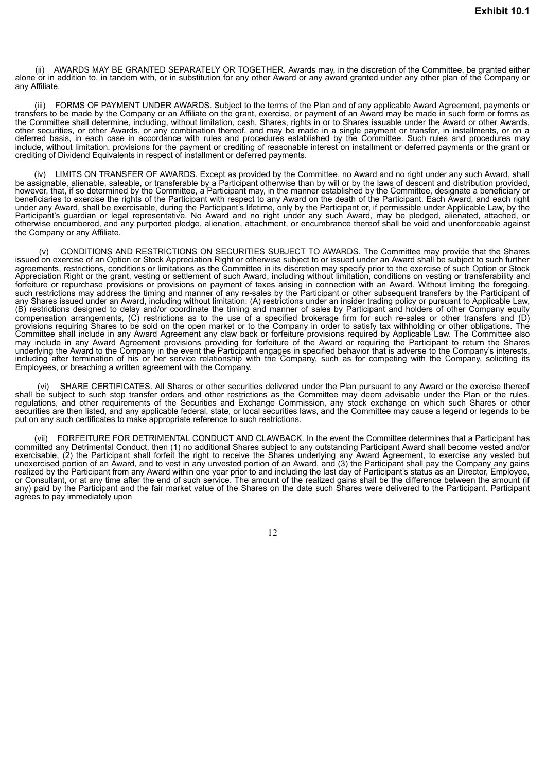AWARDS MAY BE GRANTED SEPARATELY OR TOGETHER. Awards may, in the discretion of the Committee, be granted either alone or in addition to, in tandem with, or in substitution for any other Award or any award granted under any other plan of the Company or any Affiliate.

(iii) FORMS OF PAYMENT UNDER AWARDS. Subject to the terms of the Plan and of any applicable Award Agreement, payments or transfers to be made by the Company or an Affiliate on the grant, exercise, or payment of an Award may be made in such form or forms as the Committee shall determine, including, without limitation, cash, Shares, rights in or to Shares issuable under the Award or other Awards, other securities, or other Awards, or any combination thereof, and may be made in a single payment or transfer, in installments, or on a deferred basis, in each case in accordance with rules and procedures established by the Committee. Such rules and procedures may include, without limitation, provisions for the payment or crediting of reasonable interest on installment or deferred payments or the grant or crediting of Dividend Equivalents in respect of installment or deferred payments.

LIMITS ON TRANSFER OF AWARDS. Except as provided by the Committee, no Award and no right under any such Award, shall be assignable, alienable, saleable, or transferable by a Participant otherwise than by will or by the laws of descent and distribution provided, however, that, if so determined by the Committee, a Participant may, in the manner established by the Committee, designate a beneficiary or beneficiaries to exercise the rights of the Participant with respect to any Award on the death of the Participant. Each Award, and each right under any Award, shall be exercisable, during the Participant's lifetime, only by the Participant or, if permissible under Applicable Law, by the Participant's guardian or legal representative. No Award and no right under any such Award, may be pledged, alienated, attached, or otherwise encumbered, and any purported pledge, alienation, attachment, or encumbrance thereof shall be void and unenforceable against the Company or any Affiliate.

CONDITIONS AND RESTRICTIONS ON SECURITIES SUBJECT TO AWARDS. The Committee may provide that the Shares issued on exercise of an Option or Stock Appreciation Right or otherwise subject to or issued under an Award shall be subject to such further agreements, restrictions, conditions or limitations as the Committee in its discretion may specify prior to the exercise of such Option or Stock Appreciation Right or the grant, vesting or settlement of such Award, including without limitation, conditions on vesting or transferability and forfeiture or repurchase provisions or provisions on payment of taxes arising in connection with an Award. Without limiting the foregoing, such restrictions may address the timing and manner of any re-sales by the Participant or other subsequent transfers by the Participant of any Shares issued under an Award, including without limitation: (A) restrictions under an insider trading policy or pursuant to Applicable Law, (B) restrictions designed to delay and/or coordinate the timing and manner of sales by Participant and holders of other Company equity compensation arrangements, (C) restrictions as to the use of a specified brokerage firm for such re-sales or other transfers and (D) provisions requiring Shares to be sold on the open market or to the Company in order to satisfy tax withholding or other obligations. The Committee shall include in any Award Agreement any claw back or forfeiture provisions required by Applicable Law. The Committee also may include in any Award Agreement provisions providing for forfeiture of the Award or requiring the Participant to return the Shares underlying the Award to the Company in the event the Participant engages in specified behavior that is adverse to the Company's interests, including after termination of his or her service relationship with the Company, such as for competing with the Company, soliciting its Employees, or breaching a written agreement with the Company.

(vi) SHARE CERTIFICATES. All Shares or other securities delivered under the Plan pursuant to any Award or the exercise thereof shall be subject to such stop transfer orders and other restrictions as the Committee may deem advisable under the Plan or the rules, regulations, and other requirements of the Securities and Exchange Commission, any stock exchange on which such Shares or other securities are then listed, and any applicable federal, state, or local securities laws, and the Committee may cause a legend or legends to be put on any such certificates to make appropriate reference to such restrictions.

(vii) FORFEITURE FOR DETRIMENTAL CONDUCT AND CLAWBACK. In the event the Committee determines that a Participant has committed any Detrimental Conduct, then (1) no additional Shares subject to any outstanding Participant Award shall become vested and/or exercisable, (2) the Participant shall forfeit the right to receive the Shares underlying any Award Agreement, to exercise any vested but unexercised portion of an Award, and to vest in any unvested portion of an Award, and (3) the Participant shall pay the Company any gains realized by the Participant from any Award within one year prior to and including the last day of Participant's status as an Director, Employee, or Consultant, or at any time after the end of such service. The amount of the realized gains shall be the difference between the amount (if any) paid by the Participant and the fair market value of the Shares on the date such Shares were delivered to the Participant. Participant agrees to pay immediately upon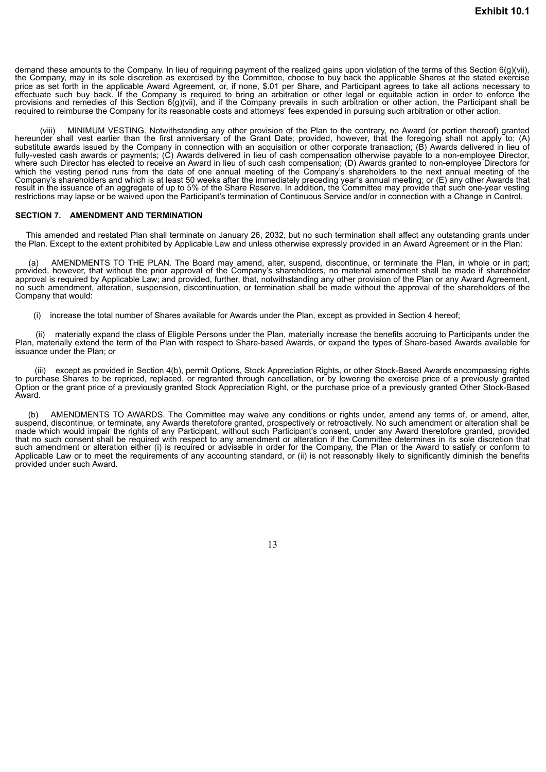demand these amounts to the Company. In lieu of requiring payment of the realized gains upon violation of the terms of this Section 6(g)(vii), the Company, may in its sole discretion as exercised by the Committee, choose to buy back the applicable Shares at the stated exercise price as set forth in the applicable Award Agreement, or, if none, \$.01 per Share, and Participant agrees to take all actions necessary to effectuate such buy back. If the Company is required to bring an arbitration or other legal or equitable action in order to enforce the provisions and remedies of this Section 6(g)(vii), and if the Company prevails in such arbitration or other action, the Participant shall be required to reimburse the Company for its reasonable costs and attorneys' fees expended in pursuing such arbitration or other action.

(viii) MINIMUM VESTING. Notwithstanding any other provision of the Plan to the contrary, no Award (or portion thereof) granted hereunder shall vest earlier than the first anniversary of the Grant Date; provided, however, that the foregoing shall not apply to: (A) substitute awards issued by the Company in connection with an acquisition or other corporate transaction; (B) Awards delivered in lieu of fully-vested cash awards or payments; (C) Awards delivered in lieu of cash compensation otherwise payable to a non-employee Director, where such Director has elected to receive an Award in lieu of such cash compensation; (D) Awards granted to non-employee Directors for which the vesting period runs from the date of one annual meeting of the Company's shareholders to the next annual meeting of the Company's shareholders and which is at least 50 weeks after the immediately preceding year's annual meeting; or (E) any other Awards that result in the issuance of an aggregate of up to 5% of the Share Reserve. In addition, the Committee may provide that such one-year vesting restrictions may lapse or be waived upon the Participant's termination of Continuous Service and/or in connection with a Change in Control.

#### **SECTION 7. AMENDMENT AND TERMINATION**

This amended and restated Plan shall terminate on January 26, 2032, but no such termination shall affect any outstanding grants under the Plan. Except to the extent prohibited by Applicable Law and unless otherwise expressly provided in an Award Agreement or in the Plan:

(a) AMENDMENTS TO THE PLAN. The Board may amend, alter, suspend, discontinue, or terminate the Plan, in whole or in part; provided, however, that without the prior approval of the Company's shareholders, no material amendment shall be made if shareholder approval is required by Applicable Law; and provided, further, that, notwithstanding any other provision of the Plan or any Award Agreement, no such amendment, alteration, suspension, discontinuation, or termination shall be made without the approval of the shareholders of the Company that would:

(i) increase the total number of Shares available for Awards under the Plan, except as provided in Section 4 hereof;

materially expand the class of Eligible Persons under the Plan, materially increase the benefits accruing to Participants under the Plan, materially extend the term of the Plan with respect to Share-based Awards, or expand the types of Share-based Awards available for issuance under the Plan; or

except as provided in Section 4(b), permit Options, Stock Appreciation Rights, or other Stock-Based Awards encompassing rights to purchase Shares to be repriced, replaced, or regranted through cancellation, or by lowering the exercise price of a previously granted Option or the grant price of a previously granted Stock Appreciation Right, or the purchase price of a previously granted Other Stock-Based Award.

(b) AMENDMENTS TO AWARDS. The Committee may waive any conditions or rights under, amend any terms of, or amend, alter, suspend, discontinue, or terminate, any Awards theretofore granted, prospectively or retroactively. No such amendment or alteration shall be made which would impair the rights of any Participant, without such Participant's consent, under any Award theretofore granted, provided that no such consent shall be required with respect to any amendment or alteration if the Committee determines in its sole discretion that such amendment or alteration either (i) is required or advisable in order for the Company, the Plan or the Award to satisfy or conform to Applicable Law or to meet the requirements of any accounting standard, or (ii) is not reasonably likely to significantly diminish the benefits provided under such Award.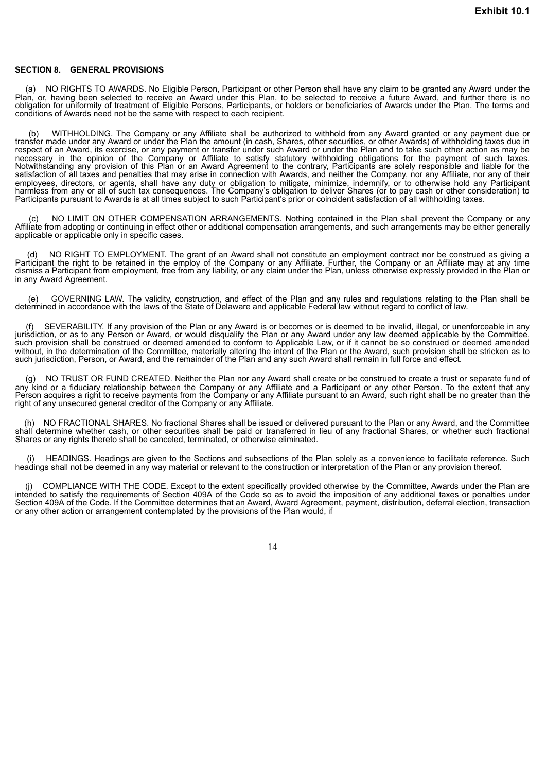#### **SECTION 8. GENERAL PROVISIONS**

(a) NO RIGHTS TO AWARDS. No Eligible Person, Participant or other Person shall have any claim to be granted any Award under the Plan, or, having been selected to receive an Award under this Plan, to be selected to receive a future Award, and further there is no obligation for uniformity of treatment of Eligible Persons, Participants, or holders or beneficiaries of Awards under the Plan. The terms and conditions of Awards need not be the same with respect to each recipient.

(b) WITHHOLDING. The Company or any Affiliate shall be authorized to withhold from any Award granted or any payment due or transfer made under any Award or under the Plan the amount (in cash, Shares, other securities, or other Awards) of withholding taxes due in respect of an Award, its exercise, or any payment or transfer under such Award or under the Plan and to take such other action as may be necessary in the opinion of the Company or Affiliate to satisfy statutory withholding obligations for the payment of such taxes. Notwithstanding any provision of this Plan or an Award Agreement to the contrary, Participants are solely responsible and liable for the satisfaction of all taxes and penalties that may arise in connection with Awards, and neither the Company, nor any Affiliate, nor any of their employees, directors, or agents, shall have any duty or obligation to mitigate, minimize, indemnify, or to otherwise hold any Participant harmless from any or all of such tax consequences. The Company's obligation to deliver Shares (or to pay cash or other consideration) to Participants pursuant to Awards is at all times subject to such Participant's prior or coincident satisfaction of all withholding taxes.

(c) NO LIMIT ON OTHER COMPENSATION ARRANGEMENTS. Nothing contained in the Plan shall prevent the Company or any Affiliate from adopting or continuing in effect other or additional compensation arrangements, and such arrangements may be either generally applicable or applicable only in specific cases.

(d) NO RIGHT TO EMPLOYMENT. The grant of an Award shall not constitute an employment contract nor be construed as giving a Participant the right to be retained in the employ of the Company or any Affiliate. Further, the Company or an Affiliate may at any time dismiss a Participant from employment, free from any liability, or any claim under the Plan, unless otherwise expressly provided in the Plan or in any Award Agreement.

(e) GOVERNING LAW. The validity, construction, and effect of the Plan and any rules and regulations relating to the Plan shall be determined in accordance with the laws of the State of Delaware and applicable Federal law without regard to conflict of law.

SEVERABILITY. If any provision of the Plan or any Award is or becomes or is deemed to be invalid, illegal, or unenforceable in any jurisdiction, or as to any Person or Award, or would disqualify the Plan or any Award under any law deemed applicable by the Committee, such provision shall be construed or deemed amended to conform to Applicable Law, or if it cannot be so construed or deemed amended without, in the determination of the Committee, materially altering the intent of the Plan or the Award, such provision shall be stricken as to such jurisdiction, Person, or Award, and the remainder of the Plan and any such Award shall remain in full force and effect.

(g) NO TRUST OR FUND CREATED. Neither the Plan nor any Award shall create or be construed to create a trust or separate fund of any kind or a fiduciary relationship between the Company or any Affiliate and a Participant or any other Person. To the extent that any Person acquires a right to receive payments from the Company or any Affiliate pursuant to an Award, such right shall be no greater than the right of any unsecured general creditor of the Company or any Affiliate.

(h) NO FRACTIONAL SHARES. No fractional Shares shall be issued or delivered pursuant to the Plan or any Award, and the Committee shall determine whether cash, or other securities shall be paid or transferred in lieu of any fractional Shares, or whether such fractional Shares or any rights thereto shall be canceled, terminated, or otherwise eliminated.

HEADINGS. Headings are given to the Sections and subsections of the Plan solely as a convenience to facilitate reference. Such headings shall not be deemed in any way material or relevant to the construction or interpretation of the Plan or any provision thereof.

(j) COMPLIANCE WITH THE CODE. Except to the extent specifically provided otherwise by the Committee, Awards under the Plan are intended to satisfy the requirements of Section 409A of the Code so as to avoid the imposition of any additional taxes or penalties under Section 409A of the Code. If the Committee determines that an Award, Award Agreement, payment, distribution, deferral election, transaction or any other action or arrangement contemplated by the provisions of the Plan would, if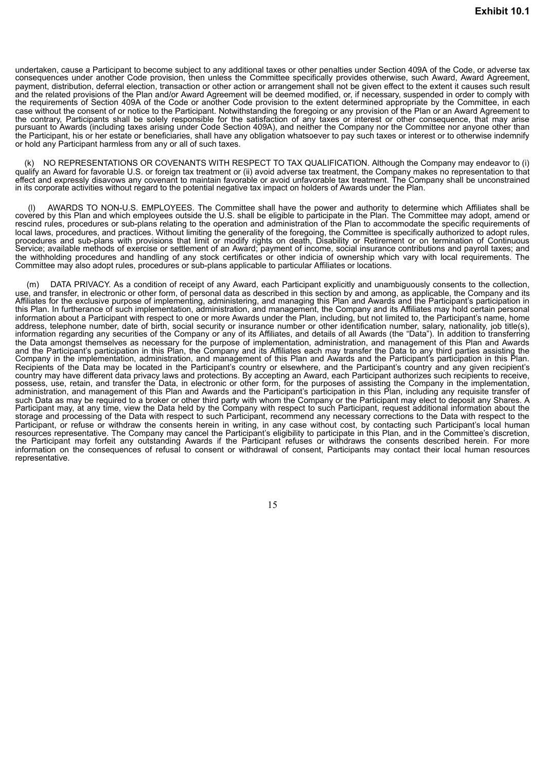undertaken, cause a Participant to become subject to any additional taxes or other penalties under Section 409A of the Code, or adverse tax consequences under another Code provision, then unless the Committee specifically provides otherwise, such Award, Award Agreement, payment, distribution, deferral election, transaction or other action or arrangement shall not be given effect to the extent it causes such result and the related provisions of the Plan and/or Award Agreement will be deemed modified, or, if necessary, suspended in order to comply with the requirements of Section 409A of the Code or another Code provision to the extent determined appropriate by the Committee, in each case without the consent of or notice to the Participant. Notwithstanding the foregoing or any provision of the Plan or an Award Agreement to the contrary, Participants shall be solely responsible for the satisfaction of any taxes or interest or other consequence, that may arise pursuant to Awards (including taxes arising under Code Section 409A), and neither the Company nor the Committee nor anyone other than the Participant, his or her estate or beneficiaries, shall have any obligation whatsoever to pay such taxes or interest or to otherwise indemnify or hold any Participant harmless from any or all of such taxes.

(k) NO REPRESENTATIONS OR COVENANTS WITH RESPECT TO TAX QUALIFICATION. Although the Company may endeavor to (i) qualify an Award for favorable U.S. or foreign tax treatment or (ii) avoid adverse tax treatment, the Company makes no representation to that effect and expressly disavows any covenant to maintain favorable or avoid unfavorable tax treatment. The Company shall be unconstrained in its corporate activities without regard to the potential negative tax impact on holders of Awards under the Plan.

(l) AWARDS TO NON-U.S. EMPLOYEES. The Committee shall have the power and authority to determine which Affiliates shall be covered by this Plan and which employees outside the U.S. shall be eligible to participate in the Plan. The Committee may adopt, amend or rescind rules, procedures or sub-plans relating to the operation and administration of the Plan to accommodate the specific requirements of local laws, procedures, and practices. Without limiting the generality of the foregoing, the Committee is specifically authorized to adopt rules, procedures and sub-plans with provisions that limit or modify rights on death, Disability or Retirement or on termination of Continuous Service; available methods of exercise or settlement of an Award; payment of income, social insurance contributions and payroll taxes; and the withholding procedures and handling of any stock certificates or other indicia of ownership which vary with local requirements. The Committee may also adopt rules, procedures or sub-plans applicable to particular Affiliates or locations.

(m) DATA PRIVACY. As a condition of receipt of any Award, each Participant explicitly and unambiguously consents to the collection, use, and transfer, in electronic or other form, of personal data as described in this section by and among, as applicable, the Company and its Affiliates for the exclusive purpose of implementing, administering, and managing this Plan and Awards and the Participant's participation in this Plan. In furtherance of such implementation, administration, and management, the Company and its Affiliates may hold certain personal information about a Participant with respect to one or more Awards under the Plan, including, but not limited to, the Participant's name, home address, telephone number, date of birth, social security or insurance number or other identification number, salary, nationality, job title(s), information regarding any securities of the Company or any of its Affiliates, and details of all Awards (the "Data"). In addition to transferring the Data amongst themselves as necessary for the purpose of implementation, administration, and management of this Plan and Awards and the Participant's participation in this Plan, the Company and its Affiliates each may transfer the Data to any third parties assisting the Company in the implementation, administration, and management of this Plan and Awards and the Participant's participation in this Plan. Recipients of the Data may be located in the Participant's country or elsewhere, and the Participant's country and any given recipient's country may have different data privacy laws and protections. By accepting an Award, each Participant authorizes such recipients to receive, possess, use, retain, and transfer the Data, in electronic or other form, for the purposes of assisting the Company in the implementation, administration, and management of this Plan and Awards and the Participant's participation in this Plan, including any requisite transfer of such Data as may be required to a broker or other third party with whom the Company or the Participant may elect to deposit any Shares. A Participant may, at any time, view the Data held by the Company with respect to such Participant, request additional information about the storage and processing of the Data with respect to such Participant, recommend any necessary corrections to the Data with respect to the Participant, or refuse or withdraw the consents herein in writing, in any case without cost, by contacting such Participant's local human resources representative. The Company may cancel the Participant's eligibility to participate in this Plan, and in the Committee's discretion, the Participant may forfeit any outstanding Awards if the Participant refuses or withdraws the consents described herein. For more information on the consequences of refusal to consent or withdrawal of consent, Participants may contact their local human resources representative.